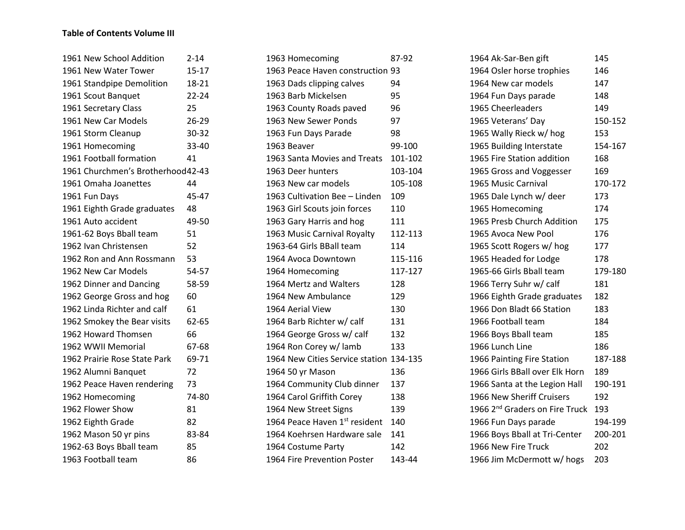## **Table of Contents Volume III**

| 1961 New School Addition          | $2 - 14$  |
|-----------------------------------|-----------|
| 1961 New Water Tower              | $15 - 17$ |
| 1961 Standpipe Demolition         | 18-21     |
| 1961 Scout Banquet                | $22 - 24$ |
| 1961 Secretary Class              | 25        |
| 1961 New Car Models               | 26-29     |
| 1961 Storm Cleanup                | 30-32     |
| 1961 Homecoming                   | 33-40     |
| 1961 Football formation           | 41        |
| 1961 Churchmen's Brotherhood42-43 |           |
| 1961 Omaha Joanettes              | 44        |
| 1961 Fun Days                     | 45-47     |
| 1961 Eighth Grade graduates       | 48        |
| 1961 Auto accident                | 49-50     |
| 1961-62 Boys Bball team           | 51        |
| 1962 Ivan Christensen             | 52        |
| 1962 Ron and Ann Rossmann         | 53        |
| 1962 New Car Models               | 54-57     |
| 1962 Dinner and Dancing           | 58-59     |
| 1962 George Gross and hog         | 60        |
| 1962 Linda Richter and calf       | 61        |
| 1962 Smokey the Bear visits       | 62-65     |
| 1962 Howard Thomsen               | 66        |
| 1962 WWII Memorial                | 67-68     |
| 1962 Prairie Rose State Park      | 69-71     |
| 1962 Alumni Banquet               | 72        |
| 1962 Peace Haven rendering        | 73        |
| 1962 Homecoming                   | 74-80     |
| 1962 Flower Show                  | 81        |
| 1962 Eighth Grade                 | 82        |
| 1962 Mason 50 yr pins             | 83-84     |
| 1962-63 Boys Bball team           | 85        |
| 1963 Football team                | 86        |

| 1963 Homecoming                         | 87-92   |
|-----------------------------------------|---------|
| 1963 Peace Haven construction 93        |         |
| 1963 Dads clipping calves               | 94      |
| 1963 Barb Mickelsen                     | 95      |
| 1963 County Roads paved                 | 96      |
| 1963 New Sewer Ponds                    | 97      |
| 1963 Fun Days Parade                    | 98      |
| 1963 Beaver                             | 99-100  |
| 1963 Santa Movies and Treats            | 101-102 |
| 1963 Deer hunters                       | 103-104 |
| 1963 New car models                     | 105-108 |
| 1963 Cultivation Bee - Linden           | 109     |
| 1963 Girl Scouts join forces            | 110     |
| 1963 Gary Harris and hog                | 111     |
| 1963 Music Carnival Royalty             | 112-113 |
| 1963-64 Girls BBall team                | 114     |
| 1964 Avoca Downtown                     | 115-116 |
| 1964 Homecoming                         | 117-127 |
| 1964 Mertz and Walters                  | 128     |
| 1964 New Ambulance                      | 129     |
| 1964 Aerial View                        | 130     |
| 1964 Barb Richter w/ calf               | 131     |
| 1964 George Gross w/ calf               | 132     |
| 1964 Ron Corey w/lamb                   | 133     |
| 1964 New Cities Service station 134-135 |         |
| 1964 50 yr Mason                        | 136     |
| 1964 Community Club dinner              | 137     |
| 1964 Carol Griffith Corey               | 138     |
| 1964 New Street Signs                   | 139     |
| 1964 Peace Haven 1st resident           | 140     |
| 1964 Koehrsen Hardware sale             | 141     |
| 1964 Costume Party                      | 142     |
| 1964 Fire Prevention Poster             | 143-44  |

| 1964 Ak-Sar-Ben gift                       | 145     |
|--------------------------------------------|---------|
| 1964 Osler horse trophies                  | 146     |
| 1964 New car models                        | 147     |
| 1964 Fun Days parade                       | 148     |
| 1965 Cheerleaders                          | 149     |
| 1965 Veterans' Day                         | 150-152 |
| 1965 Wally Rieck w/ hog                    | 153     |
| 1965 Building Interstate                   | 154-167 |
| 1965 Fire Station addition                 | 168     |
| 1965 Gross and Voggesser                   | 169     |
| 1965 Music Carnival                        | 170-172 |
| 1965 Dale Lynch w/ deer                    | 173     |
| 1965 Homecoming                            | 174     |
| 1965 Presb Church Addition                 | 175     |
| 1965 Avoca New Pool                        | 176     |
| 1965 Scott Rogers w/ hog                   | 177     |
| 1965 Headed for Lodge                      | 178     |
| 1965-66 Girls Bball team                   | 179-180 |
| 1966 Terry Suhr w/ calf                    | 181     |
| 1966 Eighth Grade graduates                | 182     |
| 1966 Don Bladt 66 Station                  | 183     |
| 1966 Football team                         | 184     |
| 1966 Boys Bball team                       | 185     |
| 1966 Lunch Line                            | 186     |
| 1966 Painting Fire Station                 | 187-188 |
| 1966 Girls BBall over Elk Horn             | 189     |
| 1966 Santa at the Legion Hall              | 190-191 |
| 1966 New Sheriff Cruisers                  | 192     |
| 1966 2 <sup>nd</sup> Graders on Fire Truck | 193     |
| 1966 Fun Days parade                       | 194-199 |
| 1966 Boys Bball at Tri-Center              | 200-201 |
| 1966 New Fire Truck                        | 202     |
| 1966 Jim McDermott w/ hogs                 | 203     |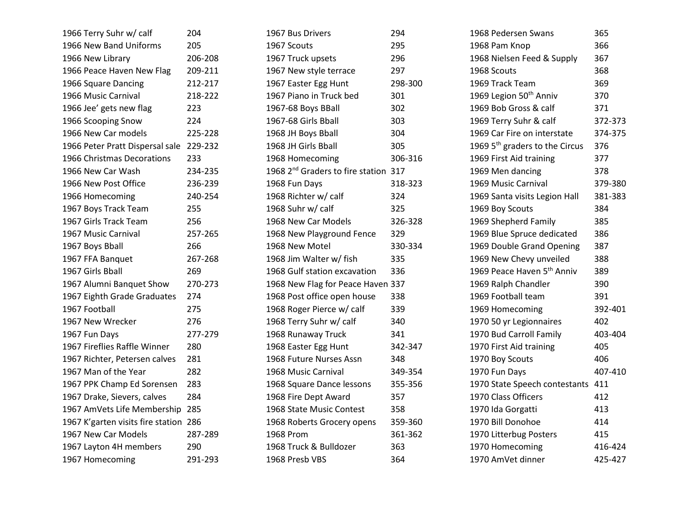| 1966 Terry Suhr w/ calf           | 204     |
|-----------------------------------|---------|
| 1966 New Band Uniforms            | 205     |
| 1966 New Library                  | 206-208 |
| 1966 Peace Haven New Flag         | 209-211 |
| 1966 Square Dancing               | 212-217 |
| 1966 Music Carnival               | 218-222 |
| 1966 Jee' gets new flag           | 223     |
| 1966 Scooping Snow                | 224     |
| 1966 New Car models               | 225-228 |
| 1966 Peter Pratt Dispersal sale   | 229-232 |
| 1966 Christmas Decorations        | 233     |
| 1966 New Car Wash                 | 234-235 |
| 1966 New Post Office              | 236-239 |
| 1966 Homecoming                   | 240-254 |
| 1967 Boys Track Team              | 255     |
| 1967 Girls Track Team             | 256     |
| 1967 Music Carnival               | 257-265 |
| 1967 Boys Bball                   | 266     |
| 1967 FFA Banquet                  | 267-268 |
| 1967 Girls Bball                  | 269     |
| 1967 Alumni Banquet Show          | 270-273 |
| 1967 Eighth Grade Graduates       | 274     |
| 1967 Football                     | 275     |
| 1967 New Wrecker                  | 276     |
| 1967 Fun Days                     | 277-279 |
| 1967 Fireflies Raffle Winner      | 280     |
| 1967 Richter, Petersen calves     | 281     |
| 1967 Man of the Year              | 282     |
| 1967 PPK Champ Ed Sorensen        | 283     |
| 1967 Drake, Sievers, calves       | 284     |
| 1967 AmVets Life Membership       | 285     |
| 1967 K'garten visits fire station | 286     |
| 1967 New Car Models               | 287-289 |
| 1967 Layton 4H members            | 290     |
| 1967 Homecoming                   | 291-293 |

| 1967 Bus Drivers                                 | 294     |
|--------------------------------------------------|---------|
| 1967 Scouts                                      | 295     |
| 1967 Truck upsets                                | 296     |
| 1967 New style terrace                           | 297     |
| 1967 Easter Egg Hunt                             | 298-300 |
| 1967 Piano in Truck bed                          | 301     |
| 1967-68 Boys BBall                               | 302     |
| 1967-68 Girls Bball                              | 303     |
| 1968 JH Boys Bball                               | 304     |
| 1968 JH Girls Bball                              | 305     |
| 1968 Homecoming                                  | 306-316 |
| 1968 2 <sup>nd</sup> Graders to fire station 317 |         |
| 1968 Fun Days                                    | 318-323 |
| 1968 Richter w/ calf                             | 324     |
| 1968 Suhr w/ calf                                | 325     |
| 1968 New Car Models                              | 326-328 |
| 1968 New Playground Fence                        | 329     |
| 1968 New Motel                                   | 330-334 |
| 1968 Jim Walter w/ fish                          | 335     |
| 1968 Gulf station excavation                     | 336     |
| 1968 New Flag for Peace Haven 337                |         |
| 1968 Post office open house                      | 338     |
| 1968 Roger Pierce w/ calf                        | 339     |
| 1968 Terry Suhr w/ calf                          | 340     |
| 1968 Runaway Truck                               | 341     |
| 1968 Easter Egg Hunt                             | 342-347 |
| 1968 Future Nurses Assn                          | 348     |
| 1968 Music Carnival                              | 349-354 |
| 1968 Square Dance lessons                        | 355-356 |
| 1968 Fire Dept Award                             | 357     |
| 1968 State Music Contest                         | 358     |
| 1968 Roberts Grocery opens                       | 359-360 |
| 1968 Prom                                        | 361-362 |
| 1968 Truck & Bulldozer                           | 363     |
| 1968 Presb VBS                                   | 364     |
|                                                  |         |

| 1968 Pedersen Swans                        | 365     |
|--------------------------------------------|---------|
| 1968 Pam Knop                              | 366     |
| 1968 Nielsen Feed & Supply                 | 367     |
| 1968 Scouts                                | 368     |
| 1969 Track Team                            | 369     |
| 1969 Legion 50 <sup>th</sup> Anniv         | 370     |
| 1969 Bob Gross & calf                      | 371     |
| 1969 Terry Suhr & calf                     | 372-373 |
| 1969 Car Fire on interstate                | 374-375 |
| 1969 5 <sup>th</sup> graders to the Circus | 376     |
| 1969 First Aid training                    | 377     |
| 1969 Men dancing                           | 378     |
| 1969 Music Carnival                        | 379-380 |
| 1969 Santa visits Legion Hall              | 381-383 |
| 1969 Boy Scouts                            | 384     |
| 1969 Shepherd Family                       | 385     |
| 1969 Blue Spruce dedicated                 | 386     |
| 1969 Double Grand Opening                  | 387     |
| 1969 New Chevy unveiled                    | 388     |
| 1969 Peace Haven 5 <sup>th</sup> Anniv     | 389     |
| 1969 Ralph Chandler                        | 390     |
| 1969 Football team                         | 391     |
| 1969 Homecoming                            | 392-401 |
| 1970 50 yr Legionnaires                    | 402     |
| 1970 Bud Carroll Family                    | 403-404 |
| 1970 First Aid training                    | 405     |
| 1970 Boy Scouts                            | 406     |
| 1970 Fun Days                              | 407-410 |
| 1970 State Speech contestants              | 411     |
| 1970 Class Officers                        | 412     |
| 1970 Ida Gorgatti                          | 413     |
| 1970 Bill Donohoe                          | 414     |
| 1970 Litterbug Posters                     | 415     |
| 1970 Homecoming                            | 416-424 |
| 1970 AmVet dinner                          | 425-427 |